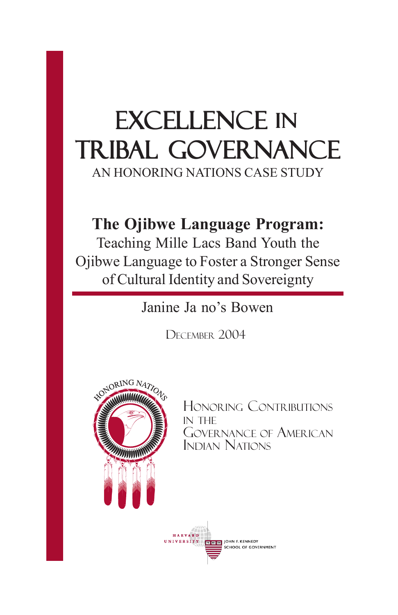# EXCELLENCE IN Tribal Governance

AN HONORING NATIONS CASE STUDY

### **The Ojibwe Language Program:**

Teaching Mille Lacs Band Youth the Ojibwe Language to Foster a Stronger Sense of Cultural Identity and Sovereignty

Janine Ja no's Bowen

DECEMBER 2004



HONORING CONTRIBUTIONS IN THE GOVERNANCE OF AMERICAN INDIAN NATIONS

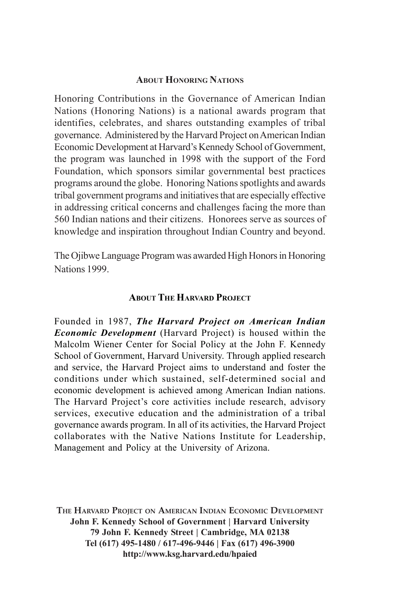#### **ABOUT HONORING NATIONS**

Honoring Contributions in the Governance of American Indian Nations (Honoring Nations) is a national awards program that identifies, celebrates, and shares outstanding examples of tribal governance. Administered by the Harvard Project on American Indian Economic Development at Harvard's Kennedy School of Government, the program was launched in 1998 with the support of the Ford Foundation, which sponsors similar governmental best practices programs around the globe. Honoring Nations spotlights and awards tribal government programs and initiatives that are especially effective in addressing critical concerns and challenges facing the more than 560 Indian nations and their citizens. Honorees serve as sources of knowledge and inspiration throughout Indian Country and beyond.

The Ojibwe Language Program was awarded High Honors in Honoring Nations 1999.

#### **ABOUT THE HARVARD PROJECT**

Founded in 1987, *The Harvard Project on American Indian Economic Development* (Harvard Project) is housed within the Malcolm Wiener Center for Social Policy at the John F. Kennedy School of Government, Harvard University. Through applied research and service, the Harvard Project aims to understand and foster the conditions under which sustained, self-determined social and economic development is achieved among American Indian nations. The Harvard Project's core activities include research, advisory services, executive education and the administration of a tribal governance awards program. In all of its activities, the Harvard Project collaborates with the Native Nations Institute for Leadership, Management and Policy at the University of Arizona.

**THE HARVARD PROJECT ON AMERICAN INDIAN ECONOMIC DEVELOPMENT John F. Kennedy School of Government | Harvard University 79 John F. Kennedy Street | Cambridge, MA 02138 Tel (617) 495-1480 / 617-496-9446 | Fax (617) 496-3900 http://www.ksg.harvard.edu/hpaied**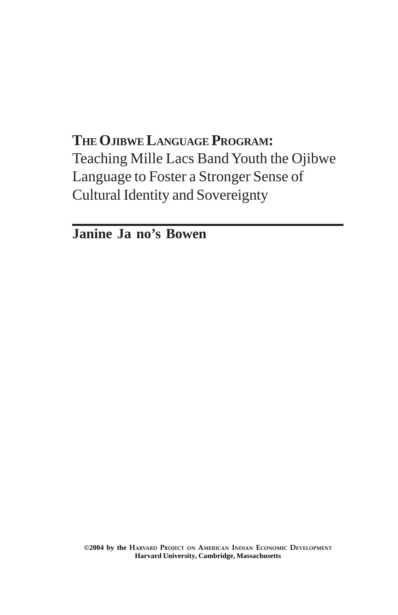### **THE OJIBWE LANGUAGE PROGRAM:** Teaching Mille Lacs Band Youth the Ojibwe Language to Foster a Stronger Sense of Cultural Identity and Sovereignty

**Janine Ja no's Bowen**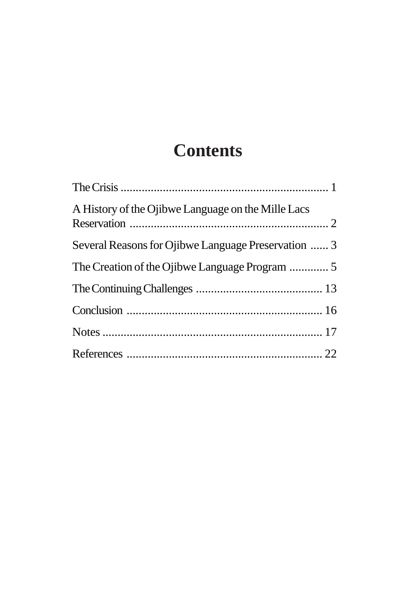# **Contents**

| A History of the Ojibwe Language on the Mille Lacs  |  |
|-----------------------------------------------------|--|
| Several Reasons for Ojibwe Language Preservation  3 |  |
|                                                     |  |
|                                                     |  |
|                                                     |  |
|                                                     |  |
|                                                     |  |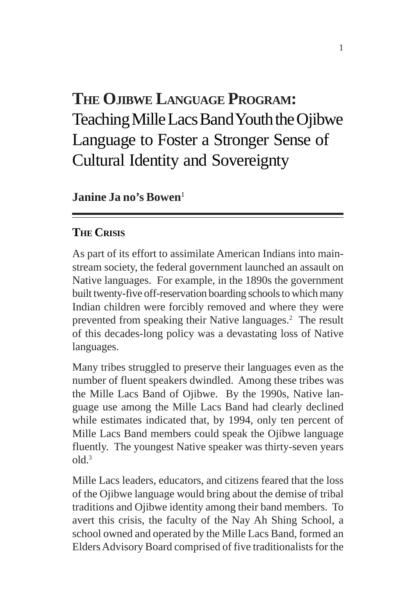## **THE OJIBWE LANGUAGE PROGRAM:** Teaching Mille Lacs Band Youth the Ojibwe Language to Foster a Stronger Sense of Cultural Identity and Sovereignty

**Janine Ja no's Bowen**<sup>1</sup>

#### **THE CRISIS**

As part of its effort to assimilate American Indians into mainstream society, the federal government launched an assault on Native languages. For example, in the 1890s the government built twenty-five off-reservation boarding schools to which many Indian children were forcibly removed and where they were prevented from speaking their Native languages.<sup>2</sup> The result of this decades-long policy was a devastating loss of Native languages.

Many tribes struggled to preserve their languages even as the number of fluent speakers dwindled. Among these tribes was the Mille Lacs Band of Ojibwe. By the 1990s, Native language use among the Mille Lacs Band had clearly declined while estimates indicated that, by 1994, only ten percent of Mille Lacs Band members could speak the Ojibwe language fluently. The youngest Native speaker was thirty-seven years  $old<sup>3</sup>$ 

Mille Lacs leaders, educators, and citizens feared that the loss of the Ojibwe language would bring about the demise of tribal traditions and Ojibwe identity among their band members. To avert this crisis, the faculty of the Nay Ah Shing School, a school owned and operated by the Mille Lacs Band, formed an Elders Advisory Board comprised of five traditionalists for the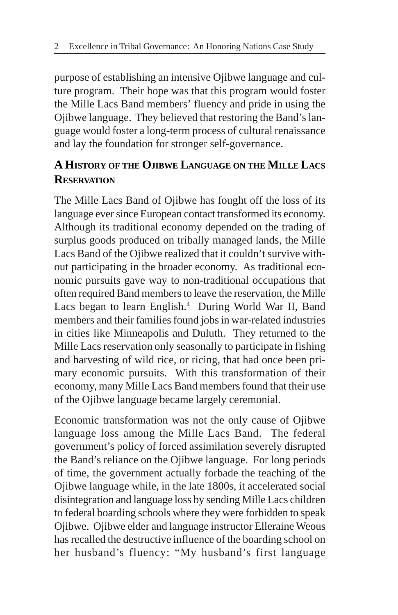purpose of establishing an intensive Ojibwe language and culture program. Their hope was that this program would foster the Mille Lacs Band members' fluency and pride in using the Ojibwe language. They believed that restoring the Band's language would foster a long-term process of cultural renaissance and lay the foundation for stronger self-governance.

### **A HISTORY OF THE OJIBWE LANGUAGE ON THE MILLE LACS RESERVATION**

The Mille Lacs Band of Ojibwe has fought off the loss of its language ever since European contact transformed its economy. Although its traditional economy depended on the trading of surplus goods produced on tribally managed lands, the Mille Lacs Band of the Ojibwe realized that it couldn't survive without participating in the broader economy. As traditional economic pursuits gave way to non-traditional occupations that often required Band members to leave the reservation, the Mille Lacs began to learn English.<sup>4</sup> During World War II, Band members and their families found jobs in war-related industries in cities like Minneapolis and Duluth. They returned to the Mille Lacs reservation only seasonally to participate in fishing and harvesting of wild rice, or ricing, that had once been primary economic pursuits. With this transformation of their economy, many Mille Lacs Band members found that their use of the Ojibwe language became largely ceremonial.

Economic transformation was not the only cause of Ojibwe language loss among the Mille Lacs Band. The federal government's policy of forced assimilation severely disrupted the Band's reliance on the Ojibwe language. For long periods of time, the government actually forbade the teaching of the Ojibwe language while, in the late 1800s, it accelerated social disintegration and language loss by sending Mille Lacs children to federal boarding schools where they were forbidden to speak Ojibwe. Ojibwe elder and language instructor Elleraine Weous has recalled the destructive influence of the boarding school on her husband's fluency: "My husband's first language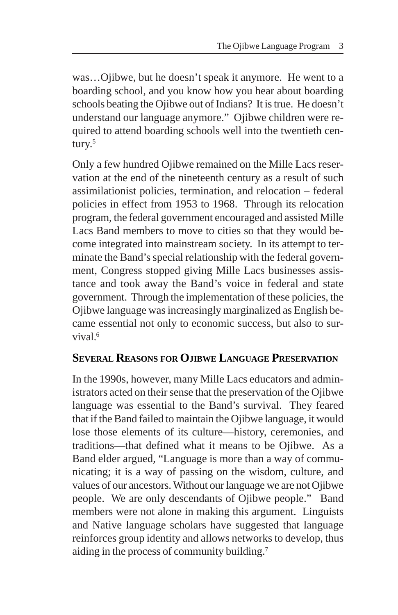was…Ojibwe, but he doesn't speak it anymore. He went to a boarding school, and you know how you hear about boarding schools beating the Ojibwe out of Indians? It is true. He doesn't understand our language anymore." Ojibwe children were required to attend boarding schools well into the twentieth century.<sup>5</sup>

Only a few hundred Ojibwe remained on the Mille Lacs reservation at the end of the nineteenth century as a result of such assimilationist policies, termination, and relocation – federal policies in effect from 1953 to 1968. Through its relocation program, the federal government encouraged and assisted Mille Lacs Band members to move to cities so that they would become integrated into mainstream society. In its attempt to terminate the Band's special relationship with the federal government, Congress stopped giving Mille Lacs businesses assistance and took away the Band's voice in federal and state government. Through the implementation of these policies, the Ojibwe language was increasingly marginalized as English became essential not only to economic success, but also to survival<sup>6</sup>

#### **SEVERAL REASONS FOR OJIBWE LANGUAGE PRESERVATION**

In the 1990s, however, many Mille Lacs educators and administrators acted on their sense that the preservation of the Ojibwe language was essential to the Band's survival. They feared that if the Band failed to maintain the Ojibwe language, it would lose those elements of its culture—history, ceremonies, and traditions—that defined what it means to be Ojibwe. As a Band elder argued, "Language is more than a way of communicating; it is a way of passing on the wisdom, culture, and values of our ancestors. Without our language we are not Ojibwe people. We are only descendants of Ojibwe people." Band members were not alone in making this argument. Linguists and Native language scholars have suggested that language reinforces group identity and allows networks to develop, thus aiding in the process of community building.7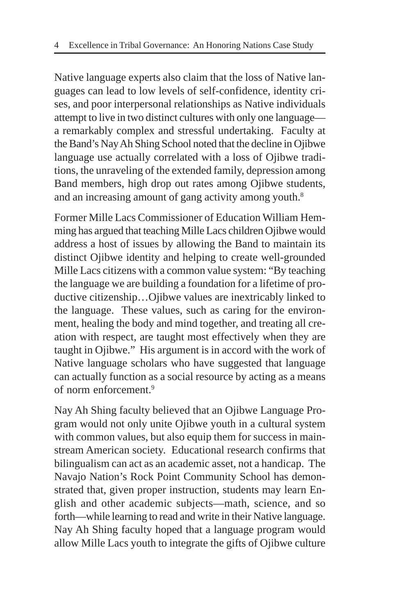Native language experts also claim that the loss of Native languages can lead to low levels of self-confidence, identity crises, and poor interpersonal relationships as Native individuals attempt to live in two distinct cultures with only one language a remarkably complex and stressful undertaking. Faculty at the Band's Nay Ah Shing School noted that the decline in Ojibwe language use actually correlated with a loss of Ojibwe traditions, the unraveling of the extended family, depression among Band members, high drop out rates among Ojibwe students, and an increasing amount of gang activity among youth.<sup>8</sup>

Former Mille Lacs Commissioner of Education William Hemming has argued that teaching Mille Lacs children Ojibwe would address a host of issues by allowing the Band to maintain its distinct Ojibwe identity and helping to create well-grounded Mille Lacs citizens with a common value system: "By teaching the language we are building a foundation for a lifetime of productive citizenship…Ojibwe values are inextricably linked to the language. These values, such as caring for the environment, healing the body and mind together, and treating all creation with respect, are taught most effectively when they are taught in Ojibwe." His argument is in accord with the work of Native language scholars who have suggested that language can actually function as a social resource by acting as a means of norm enforcement.9

Nay Ah Shing faculty believed that an Ojibwe Language Program would not only unite Ojibwe youth in a cultural system with common values, but also equip them for success in mainstream American society. Educational research confirms that bilingualism can act as an academic asset, not a handicap. The Navajo Nation's Rock Point Community School has demonstrated that, given proper instruction, students may learn English and other academic subjects—math, science, and so forth—while learning to read and write in their Native language. Nay Ah Shing faculty hoped that a language program would allow Mille Lacs youth to integrate the gifts of Ojibwe culture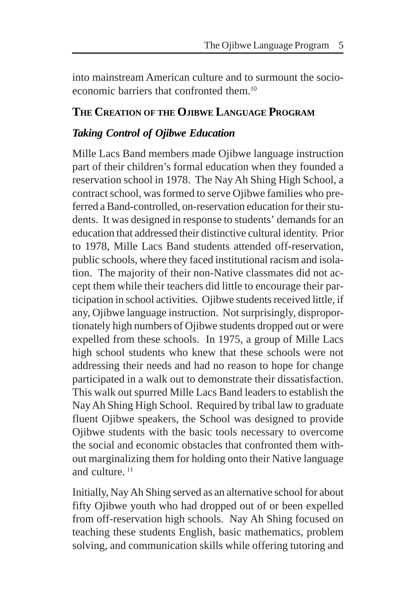into mainstream American culture and to surmount the socioeconomic barriers that confronted them  $10$ 

#### **THE CREATION OF THE OJIBWE LANGUAGE PROGRAM**

#### *Taking Control of Ojibwe Education*

Mille Lacs Band members made Ojibwe language instruction part of their children's formal education when they founded a reservation school in 1978. The Nay Ah Shing High School, a contract school, was formed to serve Ojibwe families who preferred a Band-controlled, on-reservation education for their students. It was designed in response to students' demands for an education that addressed their distinctive cultural identity. Prior to 1978, Mille Lacs Band students attended off-reservation, public schools, where they faced institutional racism and isolation. The majority of their non-Native classmates did not accept them while their teachers did little to encourage their participation in school activities. Ojibwe students received little, if any, Ojibwe language instruction. Not surprisingly, disproportionately high numbers of Ojibwe students dropped out or were expelled from these schools. In 1975, a group of Mille Lacs high school students who knew that these schools were not addressing their needs and had no reason to hope for change participated in a walk out to demonstrate their dissatisfaction. This walk out spurred Mille Lacs Band leaders to establish the Nay Ah Shing High School. Required by tribal law to graduate fluent Ojibwe speakers, the School was designed to provide Ojibwe students with the basic tools necessary to overcome the social and economic obstacles that confronted them without marginalizing them for holding onto their Native language and culture.<sup>11</sup>

Initially, Nay Ah Shing served as an alternative school for about fifty Ojibwe youth who had dropped out of or been expelled from off-reservation high schools. Nay Ah Shing focused on teaching these students English, basic mathematics, problem solving, and communication skills while offering tutoring and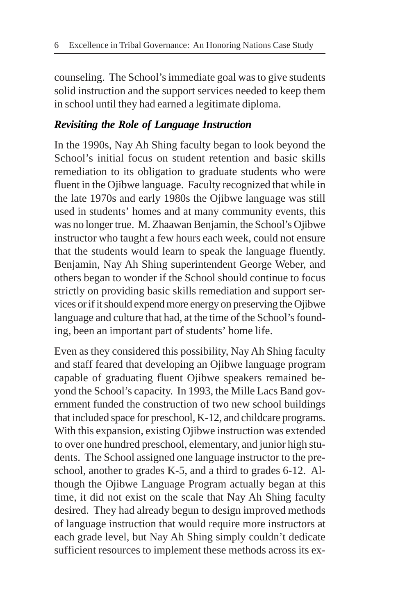counseling. The School's immediate goal was to give students solid instruction and the support services needed to keep them in school until they had earned a legitimate diploma.

#### *Revisiting the Role of Language Instruction*

In the 1990s, Nay Ah Shing faculty began to look beyond the School's initial focus on student retention and basic skills remediation to its obligation to graduate students who were fluent in the Ojibwe language. Faculty recognized that while in the late 1970s and early 1980s the Ojibwe language was still used in students' homes and at many community events, this was no longer true. M. Zhaawan Benjamin, the School's Ojibwe instructor who taught a few hours each week, could not ensure that the students would learn to speak the language fluently. Benjamin, Nay Ah Shing superintendent George Weber, and others began to wonder if the School should continue to focus strictly on providing basic skills remediation and support services or if it should expend more energy on preserving the Ojibwe language and culture that had, at the time of the School's founding, been an important part of students' home life.

Even as they considered this possibility, Nay Ah Shing faculty and staff feared that developing an Ojibwe language program capable of graduating fluent Ojibwe speakers remained beyond the School's capacity. In 1993, the Mille Lacs Band government funded the construction of two new school buildings that included space for preschool, K-12, and childcare programs. With this expansion, existing Ojibwe instruction was extended to over one hundred preschool, elementary, and junior high students. The School assigned one language instructor to the preschool, another to grades K-5, and a third to grades 6-12. Although the Ojibwe Language Program actually began at this time, it did not exist on the scale that Nay Ah Shing faculty desired. They had already begun to design improved methods of language instruction that would require more instructors at each grade level, but Nay Ah Shing simply couldn't dedicate sufficient resources to implement these methods across its ex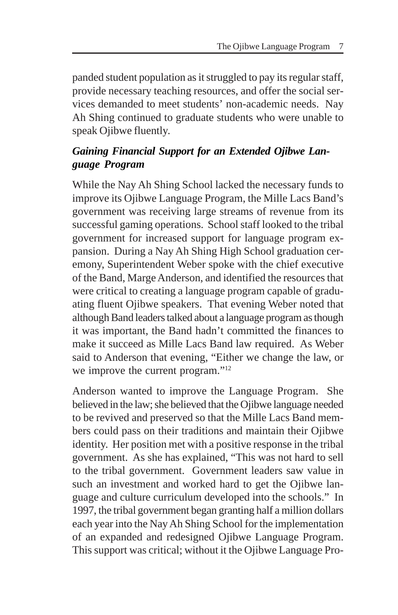panded student population as it struggled to pay its regular staff, provide necessary teaching resources, and offer the social services demanded to meet students' non-academic needs. Nay Ah Shing continued to graduate students who were unable to speak Ojibwe fluently.

#### *Gaining Financial Support for an Extended Ojibwe Language Program*

While the Nay Ah Shing School lacked the necessary funds to improve its Ojibwe Language Program, the Mille Lacs Band's government was receiving large streams of revenue from its successful gaming operations. School staff looked to the tribal government for increased support for language program expansion. During a Nay Ah Shing High School graduation ceremony, Superintendent Weber spoke with the chief executive of the Band, Marge Anderson, and identified the resources that were critical to creating a language program capable of graduating fluent Ojibwe speakers. That evening Weber noted that although Band leaders talked about a language program as though it was important, the Band hadn't committed the finances to make it succeed as Mille Lacs Band law required. As Weber said to Anderson that evening, "Either we change the law, or we improve the current program."<sup>12</sup>

Anderson wanted to improve the Language Program. She believed in the law; she believed that the Ojibwe language needed to be revived and preserved so that the Mille Lacs Band members could pass on their traditions and maintain their Ojibwe identity. Her position met with a positive response in the tribal government. As she has explained, "This was not hard to sell to the tribal government. Government leaders saw value in such an investment and worked hard to get the Ojibwe language and culture curriculum developed into the schools." In 1997, the tribal government began granting half a million dollars each year into the Nay Ah Shing School for the implementation of an expanded and redesigned Ojibwe Language Program. This support was critical; without it the Ojibwe Language Pro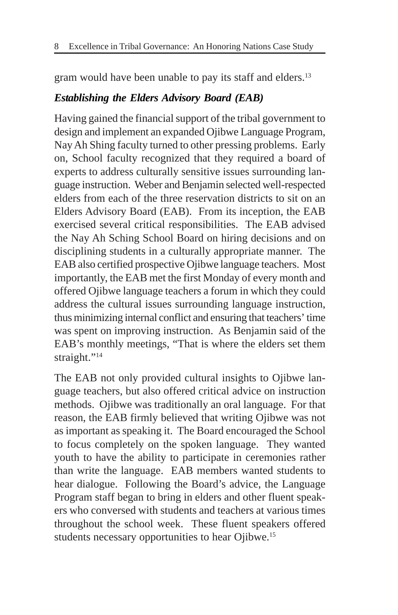gram would have been unable to pay its staff and elders.<sup>13</sup>

#### *Establishing the Elders Advisory Board (EAB)*

Having gained the financial support of the tribal government to design and implement an expanded Ojibwe Language Program, Nay Ah Shing faculty turned to other pressing problems. Early on, School faculty recognized that they required a board of experts to address culturally sensitive issues surrounding language instruction. Weber and Benjamin selected well-respected elders from each of the three reservation districts to sit on an Elders Advisory Board (EAB). From its inception, the EAB exercised several critical responsibilities. The EAB advised the Nay Ah Sching School Board on hiring decisions and on disciplining students in a culturally appropriate manner. The EAB also certified prospective Ojibwe language teachers. Most importantly, the EAB met the first Monday of every month and offered Ojibwe language teachers a forum in which they could address the cultural issues surrounding language instruction, thus minimizing internal conflict and ensuring that teachers' time was spent on improving instruction. As Benjamin said of the EAB's monthly meetings, "That is where the elders set them straight."<sup>14</sup>

The EAB not only provided cultural insights to Ojibwe language teachers, but also offered critical advice on instruction methods. Ojibwe was traditionally an oral language. For that reason, the EAB firmly believed that writing Ojibwe was not as important as speaking it. The Board encouraged the School to focus completely on the spoken language. They wanted youth to have the ability to participate in ceremonies rather than write the language. EAB members wanted students to hear dialogue. Following the Board's advice, the Language Program staff began to bring in elders and other fluent speakers who conversed with students and teachers at various times throughout the school week. These fluent speakers offered students necessary opportunities to hear Ojibwe.<sup>15</sup>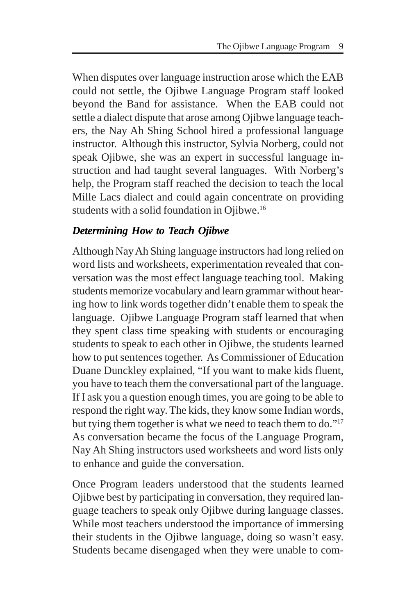When disputes over language instruction arose which the EAB could not settle, the Ojibwe Language Program staff looked beyond the Band for assistance. When the EAB could not settle a dialect dispute that arose among Ojibwe language teachers, the Nay Ah Shing School hired a professional language instructor. Although this instructor, Sylvia Norberg, could not speak Ojibwe, she was an expert in successful language instruction and had taught several languages. With Norberg's help, the Program staff reached the decision to teach the local Mille Lacs dialect and could again concentrate on providing students with a solid foundation in Ojibwe.16

#### *Determining How to Teach Ojibwe*

Although Nay Ah Shing language instructors had long relied on word lists and worksheets, experimentation revealed that conversation was the most effect language teaching tool. Making students memorize vocabulary and learn grammar without hearing how to link words together didn't enable them to speak the language. Ojibwe Language Program staff learned that when they spent class time speaking with students or encouraging students to speak to each other in Ojibwe, the students learned how to put sentences together. As Commissioner of Education Duane Dunckley explained, "If you want to make kids fluent, you have to teach them the conversational part of the language. If I ask you a question enough times, you are going to be able to respond the right way. The kids, they know some Indian words, but tying them together is what we need to teach them to do."<sup>17</sup> As conversation became the focus of the Language Program, Nay Ah Shing instructors used worksheets and word lists only to enhance and guide the conversation.

Once Program leaders understood that the students learned Ojibwe best by participating in conversation, they required language teachers to speak only Ojibwe during language classes. While most teachers understood the importance of immersing their students in the Ojibwe language, doing so wasn't easy. Students became disengaged when they were unable to com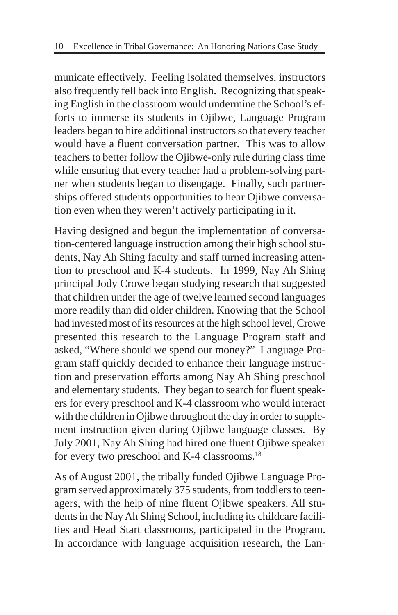municate effectively. Feeling isolated themselves, instructors also frequently fell back into English. Recognizing that speaking English in the classroom would undermine the School's efforts to immerse its students in Ojibwe, Language Program leaders began to hire additional instructors so that every teacher would have a fluent conversation partner. This was to allow teachers to better follow the Ojibwe-only rule during class time while ensuring that every teacher had a problem-solving partner when students began to disengage. Finally, such partnerships offered students opportunities to hear Ojibwe conversation even when they weren't actively participating in it.

Having designed and begun the implementation of conversation-centered language instruction among their high school students, Nay Ah Shing faculty and staff turned increasing attention to preschool and K-4 students. In 1999, Nay Ah Shing principal Jody Crowe began studying research that suggested that children under the age of twelve learned second languages more readily than did older children. Knowing that the School had invested most of its resources at the high school level, Crowe presented this research to the Language Program staff and asked, "Where should we spend our money?" Language Program staff quickly decided to enhance their language instruction and preservation efforts among Nay Ah Shing preschool and elementary students. They began to search for fluent speakers for every preschool and K-4 classroom who would interact with the children in Ojibwe throughout the day in order to supplement instruction given during Ojibwe language classes. By July 2001, Nay Ah Shing had hired one fluent Ojibwe speaker for every two preschool and K-4 classrooms.18

As of August 2001, the tribally funded Ojibwe Language Program served approximately 375 students, from toddlers to teenagers, with the help of nine fluent Ojibwe speakers. All students in the Nay Ah Shing School, including its childcare facilities and Head Start classrooms, participated in the Program. In accordance with language acquisition research, the Lan-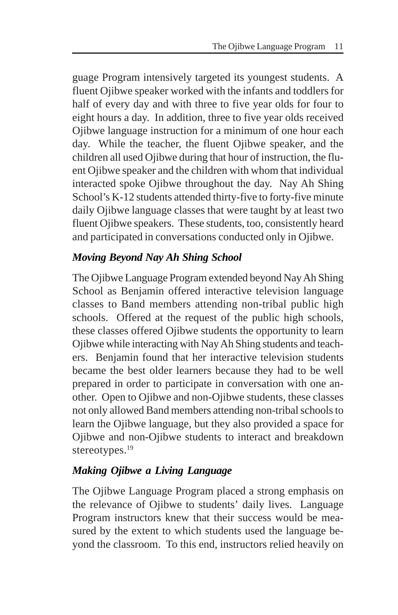guage Program intensively targeted its youngest students. A fluent Ojibwe speaker worked with the infants and toddlers for half of every day and with three to five year olds for four to eight hours a day. In addition, three to five year olds received Ojibwe language instruction for a minimum of one hour each day. While the teacher, the fluent Ojibwe speaker, and the children all used Ojibwe during that hour of instruction, the fluent Ojibwe speaker and the children with whom that individual interacted spoke Ojibwe throughout the day. Nay Ah Shing School's K-12 students attended thirty-five to forty-five minute daily Ojibwe language classes that were taught by at least two fluent Ojibwe speakers. These students, too, consistently heard and participated in conversations conducted only in Ojibwe.

### *Moving Beyond Nay Ah Shing School*

The Ojibwe Language Program extended beyond Nay Ah Shing School as Benjamin offered interactive television language classes to Band members attending non-tribal public high schools. Offered at the request of the public high schools, these classes offered Ojibwe students the opportunity to learn Ojibwe while interacting with Nay Ah Shing students and teachers. Benjamin found that her interactive television students became the best older learners because they had to be well prepared in order to participate in conversation with one another. Open to Ojibwe and non-Ojibwe students, these classes not only allowed Band members attending non-tribal schools to learn the Ojibwe language, but they also provided a space for Ojibwe and non-Ojibwe students to interact and breakdown stereotypes.<sup>19</sup>

### *Making Ojibwe a Living Language*

The Ojibwe Language Program placed a strong emphasis on the relevance of Ojibwe to students' daily lives. Language Program instructors knew that their success would be measured by the extent to which students used the language beyond the classroom. To this end, instructors relied heavily on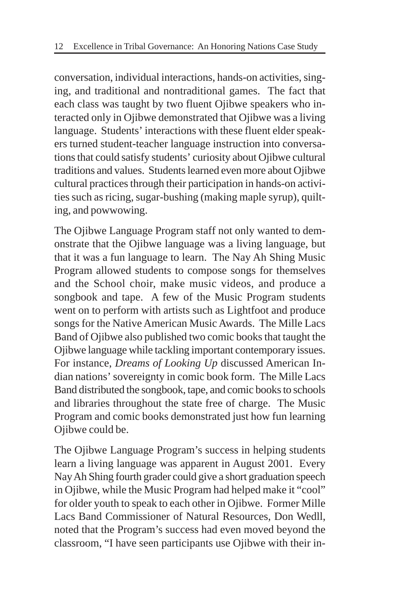conversation, individual interactions, hands-on activities, singing, and traditional and nontraditional games. The fact that each class was taught by two fluent Ojibwe speakers who interacted only in Ojibwe demonstrated that Ojibwe was a living language. Students' interactions with these fluent elder speakers turned student-teacher language instruction into conversations that could satisfy students' curiosity about Ojibwe cultural traditions and values. Students learned even more about Ojibwe cultural practices through their participation in hands-on activities such as ricing, sugar-bushing (making maple syrup), quilting, and powwowing.

The Ojibwe Language Program staff not only wanted to demonstrate that the Ojibwe language was a living language, but that it was a fun language to learn. The Nay Ah Shing Music Program allowed students to compose songs for themselves and the School choir, make music videos, and produce a songbook and tape. A few of the Music Program students went on to perform with artists such as Lightfoot and produce songs for the Native American Music Awards. The Mille Lacs Band of Ojibwe also published two comic books that taught the Ojibwe language while tackling important contemporary issues. For instance, *Dreams of Looking Up* discussed American Indian nations' sovereignty in comic book form. The Mille Lacs Band distributed the songbook, tape, and comic books to schools and libraries throughout the state free of charge. The Music Program and comic books demonstrated just how fun learning Oiibwe could be.

The Ojibwe Language Program's success in helping students learn a living language was apparent in August 2001. Every Nay Ah Shing fourth grader could give a short graduation speech in Ojibwe, while the Music Program had helped make it "cool" for older youth to speak to each other in Ojibwe. Former Mille Lacs Band Commissioner of Natural Resources, Don Wedll, noted that the Program's success had even moved beyond the classroom, "I have seen participants use Ojibwe with their in-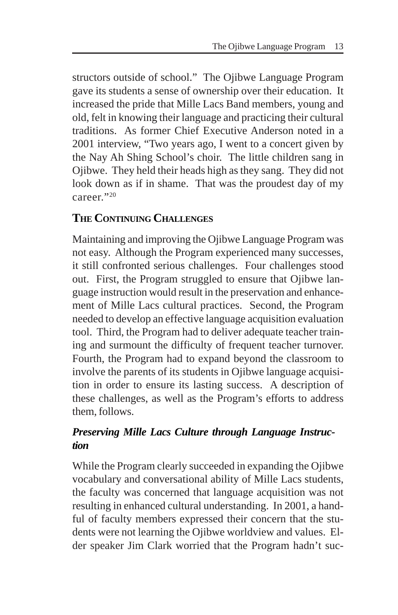structors outside of school." The Ojibwe Language Program gave its students a sense of ownership over their education. It increased the pride that Mille Lacs Band members, young and old, felt in knowing their language and practicing their cultural traditions. As former Chief Executive Anderson noted in a 2001 interview, "Two years ago, I went to a concert given by the Nay Ah Shing School's choir. The little children sang in Ojibwe. They held their heads high as they sang. They did not look down as if in shame. That was the proudest day of my career."20

### **THE CONTINUING CHALLENGES**

Maintaining and improving the Ojibwe Language Program was not easy. Although the Program experienced many successes, it still confronted serious challenges. Four challenges stood out. First, the Program struggled to ensure that Ojibwe language instruction would result in the preservation and enhancement of Mille Lacs cultural practices. Second, the Program needed to develop an effective language acquisition evaluation tool. Third, the Program had to deliver adequate teacher training and surmount the difficulty of frequent teacher turnover. Fourth, the Program had to expand beyond the classroom to involve the parents of its students in Ojibwe language acquisition in order to ensure its lasting success. A description of these challenges, as well as the Program's efforts to address them, follows.

#### *Preserving Mille Lacs Culture through Language Instruction*

While the Program clearly succeeded in expanding the Ojibwe vocabulary and conversational ability of Mille Lacs students, the faculty was concerned that language acquisition was not resulting in enhanced cultural understanding. In 2001, a handful of faculty members expressed their concern that the students were not learning the Ojibwe worldview and values. Elder speaker Jim Clark worried that the Program hadn't suc-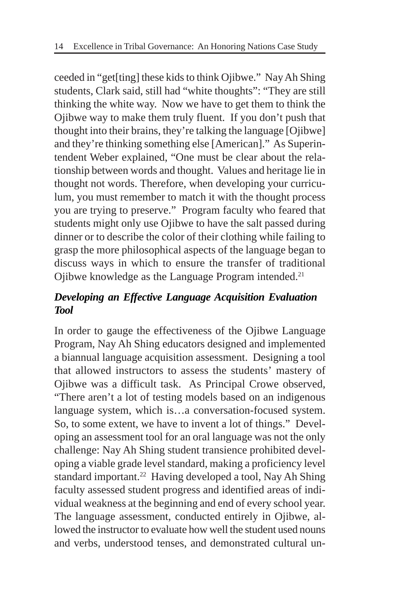ceeded in "get[ting] these kids to think Ojibwe." Nay Ah Shing students, Clark said, still had "white thoughts": "They are still thinking the white way. Now we have to get them to think the Ojibwe way to make them truly fluent. If you don't push that thought into their brains, they're talking the language [Ojibwe] and they're thinking something else [American]." As Superintendent Weber explained, "One must be clear about the relationship between words and thought. Values and heritage lie in thought not words. Therefore, when developing your curriculum, you must remember to match it with the thought process you are trying to preserve." Program faculty who feared that students might only use Ojibwe to have the salt passed during dinner or to describe the color of their clothing while failing to grasp the more philosophical aspects of the language began to discuss ways in which to ensure the transfer of traditional Ojibwe knowledge as the Language Program intended.21

#### *Developing an Effective Language Acquisition Evaluation Tool*

In order to gauge the effectiveness of the Ojibwe Language Program, Nay Ah Shing educators designed and implemented a biannual language acquisition assessment. Designing a tool that allowed instructors to assess the students' mastery of Ojibwe was a difficult task. As Principal Crowe observed, "There aren't a lot of testing models based on an indigenous language system, which is…a conversation-focused system. So, to some extent, we have to invent a lot of things." Developing an assessment tool for an oral language was not the only challenge: Nay Ah Shing student transience prohibited developing a viable grade level standard, making a proficiency level standard important.<sup>22</sup> Having developed a tool, Nay Ah Shing faculty assessed student progress and identified areas of individual weakness at the beginning and end of every school year. The language assessment, conducted entirely in Ojibwe, allowed the instructor to evaluate how well the student used nouns and verbs, understood tenses, and demonstrated cultural un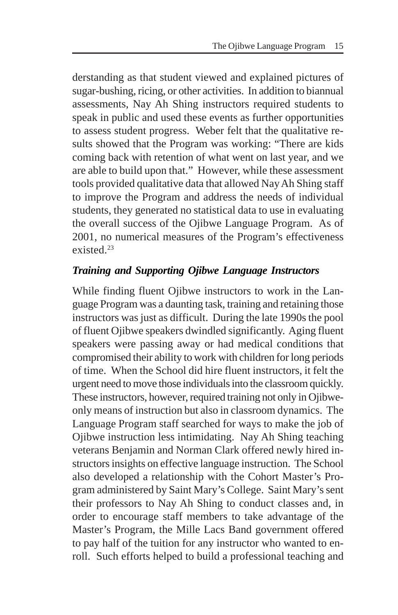derstanding as that student viewed and explained pictures of sugar-bushing, ricing, or other activities. In addition to biannual assessments, Nay Ah Shing instructors required students to speak in public and used these events as further opportunities to assess student progress. Weber felt that the qualitative results showed that the Program was working: "There are kids coming back with retention of what went on last year, and we are able to build upon that." However, while these assessment tools provided qualitative data that allowed Nay Ah Shing staff to improve the Program and address the needs of individual students, they generated no statistical data to use in evaluating the overall success of the Ojibwe Language Program. As of 2001, no numerical measures of the Program's effectiveness existed  $^{23}$ 

#### *Training and Supporting Ojibwe Language Instructors*

While finding fluent Ojibwe instructors to work in the Language Program was a daunting task, training and retaining those instructors was just as difficult. During the late 1990s the pool of fluent Ojibwe speakers dwindled significantly. Aging fluent speakers were passing away or had medical conditions that compromised their ability to work with children for long periods of time. When the School did hire fluent instructors, it felt the urgent need to move those individuals into the classroom quickly. These instructors, however, required training not only in Ojibweonly means of instruction but also in classroom dynamics. The Language Program staff searched for ways to make the job of Ojibwe instruction less intimidating. Nay Ah Shing teaching veterans Benjamin and Norman Clark offered newly hired instructors insights on effective language instruction. The School also developed a relationship with the Cohort Master's Program administered by Saint Mary's College. Saint Mary's sent their professors to Nay Ah Shing to conduct classes and, in order to encourage staff members to take advantage of the Master's Program, the Mille Lacs Band government offered to pay half of the tuition for any instructor who wanted to enroll. Such efforts helped to build a professional teaching and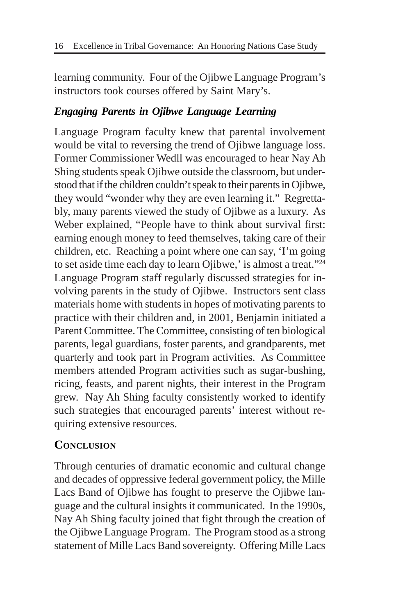learning community. Four of the Ojibwe Language Program's instructors took courses offered by Saint Mary's.

#### *Engaging Parents in Ojibwe Language Learning*

Language Program faculty knew that parental involvement would be vital to reversing the trend of Ojibwe language loss. Former Commissioner Wedll was encouraged to hear Nay Ah Shing students speak Ojibwe outside the classroom, but understood that if the children couldn't speak to their parents in Ojibwe, they would "wonder why they are even learning it." Regrettably, many parents viewed the study of Ojibwe as a luxury. As Weber explained, "People have to think about survival first: earning enough money to feed themselves, taking care of their children, etc. Reaching a point where one can say, 'I'm going to set aside time each day to learn Ojibwe,' is almost a treat."24 Language Program staff regularly discussed strategies for involving parents in the study of Ojibwe. Instructors sent class materials home with students in hopes of motivating parents to practice with their children and, in 2001, Benjamin initiated a Parent Committee. The Committee, consisting of ten biological parents, legal guardians, foster parents, and grandparents, met quarterly and took part in Program activities. As Committee members attended Program activities such as sugar-bushing, ricing, feasts, and parent nights, their interest in the Program grew. Nay Ah Shing faculty consistently worked to identify such strategies that encouraged parents' interest without requiring extensive resources.

#### **CONCLUSION**

Through centuries of dramatic economic and cultural change and decades of oppressive federal government policy, the Mille Lacs Band of Ojibwe has fought to preserve the Ojibwe language and the cultural insights it communicated. In the 1990s, Nay Ah Shing faculty joined that fight through the creation of the Ojibwe Language Program. The Program stood as a strong statement of Mille Lacs Band sovereignty. Offering Mille Lacs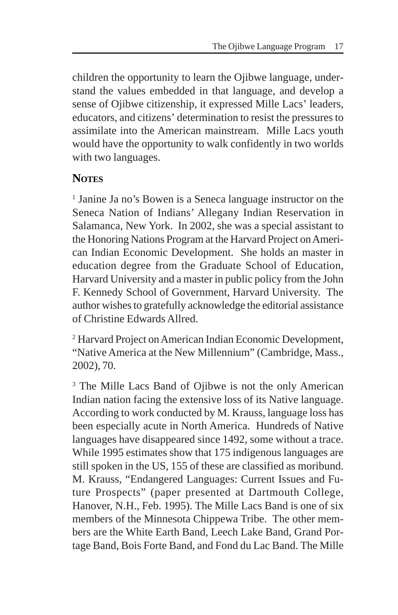children the opportunity to learn the Ojibwe language, understand the values embedded in that language, and develop a sense of Ojibwe citizenship, it expressed Mille Lacs' leaders, educators, and citizens' determination to resist the pressures to assimilate into the American mainstream. Mille Lacs youth would have the opportunity to walk confidently in two worlds with two languages.

#### **NOTES**

<sup>1</sup> Janine Ja no's Bowen is a Seneca language instructor on the Seneca Nation of Indians' Allegany Indian Reservation in Salamanca, New York. In 2002, she was a special assistant to the Honoring Nations Program at the Harvard Project on American Indian Economic Development. She holds an master in education degree from the Graduate School of Education, Harvard University and a master in public policy from the John F. Kennedy School of Government, Harvard University. The author wishes to gratefully acknowledge the editorial assistance of Christine Edwards Allred.

2 Harvard Project on American Indian Economic Development, "Native America at the New Millennium" (Cambridge, Mass., 2002), 70.

<sup>3</sup> The Mille Lacs Band of Ojibwe is not the only American Indian nation facing the extensive loss of its Native language. According to work conducted by M. Krauss, language loss has been especially acute in North America. Hundreds of Native languages have disappeared since 1492, some without a trace. While 1995 estimates show that 175 indigenous languages are still spoken in the US, 155 of these are classified as moribund. M. Krauss, "Endangered Languages: Current Issues and Future Prospects" (paper presented at Dartmouth College, Hanover, N.H., Feb. 1995). The Mille Lacs Band is one of six members of the Minnesota Chippewa Tribe. The other members are the White Earth Band, Leech Lake Band, Grand Portage Band, Bois Forte Band, and Fond du Lac Band. The Mille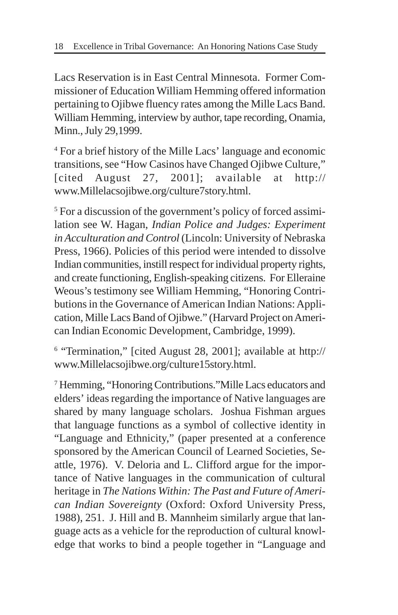Lacs Reservation is in East Central Minnesota. Former Commissioner of Education William Hemming offered information pertaining to Ojibwe fluency rates among the Mille Lacs Band. William Hemming, interview by author, tape recording, Onamia, Minn., July 29,1999.

4 For a brief history of the Mille Lacs' language and economic transitions, see "How Casinos have Changed Ojibwe Culture," [cited August 27, 2001]; available at http:// www.Millelacsojibwe.org/culture7story.html.

<sup>5</sup> For a discussion of the government's policy of forced assimilation see W. Hagan, *Indian Police and Judges: Experiment in Acculturation and Control* (Lincoln: University of Nebraska Press, 1966). Policies of this period were intended to dissolve Indian communities, instill respect for individual property rights, and create functioning, English-speaking citizens. For Elleraine Weous's testimony see William Hemming, "Honoring Contributions in the Governance of American Indian Nations: Application, Mille Lacs Band of Ojibwe." (Harvard Project on American Indian Economic Development, Cambridge, 1999).

6 "Termination," [cited August 28, 2001]; available at http:// www.Millelacsojibwe.org/culture15story.html.

7 Hemming, "Honoring Contributions."Mille Lacs educators and elders' ideas regarding the importance of Native languages are shared by many language scholars. Joshua Fishman argues that language functions as a symbol of collective identity in "Language and Ethnicity," (paper presented at a conference sponsored by the American Council of Learned Societies, Seattle, 1976). V. Deloria and L. Clifford argue for the importance of Native languages in the communication of cultural heritage in *The Nations Within: The Past and Future of American Indian Sovereignty* (Oxford: Oxford University Press, 1988), 251. J. Hill and B. Mannheim similarly argue that language acts as a vehicle for the reproduction of cultural knowledge that works to bind a people together in "Language and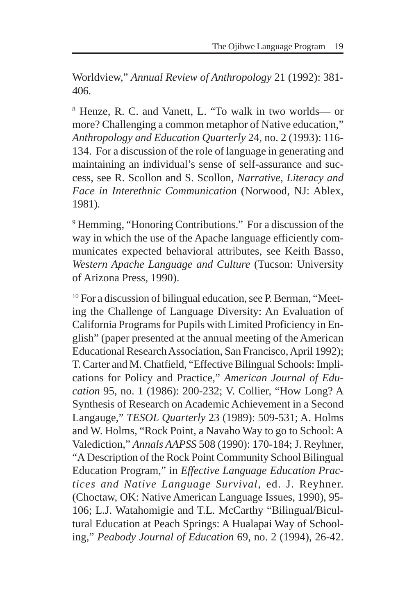Worldview," *Annual Review of Anthropology* 21 (1992): 381- 406.

8 Henze, R. C. and Vanett, L. "To walk in two worlds— or more? Challenging a common metaphor of Native education," *Anthropology and Education Quarterly* 24, no. 2 (1993): 116- 134. For a discussion of the role of language in generating and maintaining an individual's sense of self-assurance and success, see R. Scollon and S. Scollon, *Narrative, Literacy and Face in Interethnic Communication* (Norwood, NJ: Ablex, 1981).

<sup>9</sup> Hemming, "Honoring Contributions." For a discussion of the way in which the use of the Apache language efficiently communicates expected behavioral attributes, see Keith Basso, *Western Apache Language and Culture* (Tucson: University of Arizona Press, 1990).

<sup>10</sup> For a discussion of bilingual education, see P. Berman, "Meeting the Challenge of Language Diversity: An Evaluation of California Programs for Pupils with Limited Proficiency in English" (paper presented at the annual meeting of the American Educational Research Association, San Francisco, April 1992); T. Carter and M. Chatfield, "Effective Bilingual Schools: Implications for Policy and Practice," *American Journal of Education* 95, no. 1 (1986): 200-232; V. Collier, "How Long? A Synthesis of Research on Academic Achievement in a Second Langauge," *TESOL Quarterly* 23 (1989): 509-531; A. Holms and W. Holms, "Rock Point, a Navaho Way to go to School: A Valediction," *Annals AAPSS* 508 (1990): 170-184; J. Reyhner, "A Description of the Rock Point Community School Bilingual Education Program," in *Effective Language Education Practices and Native Language Survival*, ed. J. Reyhner. (Choctaw, OK: Native American Language Issues, 1990), 95- 106; L.J. Watahomigie and T.L. McCarthy "Bilingual/Bicultural Education at Peach Springs: A Hualapai Way of Schooling," *Peabody Journal of Education* 69, no. 2 (1994), 26-42.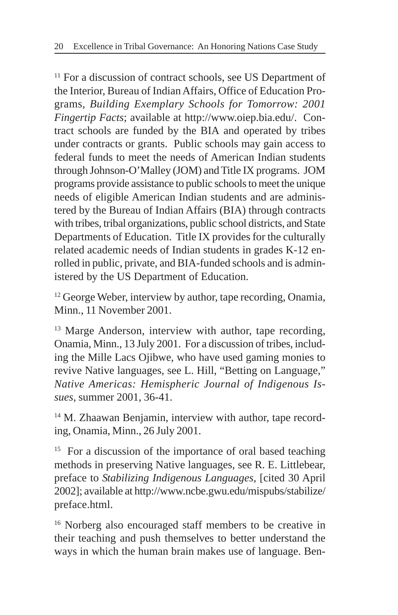<sup>11</sup> For a discussion of contract schools, see US Department of the Interior, Bureau of Indian Affairs, Office of Education Programs, *Building Exemplary Schools for Tomorrow: 2001 Fingertip Facts*; available at http://www.oiep.bia.edu/. Contract schools are funded by the BIA and operated by tribes under contracts or grants. Public schools may gain access to federal funds to meet the needs of American Indian students through Johnson-O'Malley (JOM) and Title IX programs. JOM programs provide assistance to public schools to meet the unique needs of eligible American Indian students and are administered by the Bureau of Indian Affairs (BIA) through contracts with tribes, tribal organizations, public school districts, and State Departments of Education. Title IX provides for the culturally related academic needs of Indian students in grades K-12 enrolled in public, private, and BIA-funded schools and is administered by the US Department of Education.

<sup>12</sup> George Weber, interview by author, tape recording, Onamia, Minn., 11 November 2001.

<sup>13</sup> Marge Anderson, interview with author, tape recording, Onamia, Minn., 13 July 2001. For a discussion of tribes, including the Mille Lacs Ojibwe, who have used gaming monies to revive Native languages, see L. Hill, "Betting on Language," *Native Americas: Hemispheric Journal of Indigenous Issues*, summer 2001, 36-41.

<sup>14</sup> M. Zhaawan Benjamin, interview with author, tape recording, Onamia, Minn., 26 July 2001.

<sup>15</sup> For a discussion of the importance of oral based teaching methods in preserving Native languages, see R. E. Littlebear, preface to *Stabilizing Indigenous Languages*, [cited 30 April 2002]; available at http://www.ncbe.gwu.edu/mispubs/stabilize/ preface.html.

<sup>16</sup> Norberg also encouraged staff members to be creative in their teaching and push themselves to better understand the ways in which the human brain makes use of language. Ben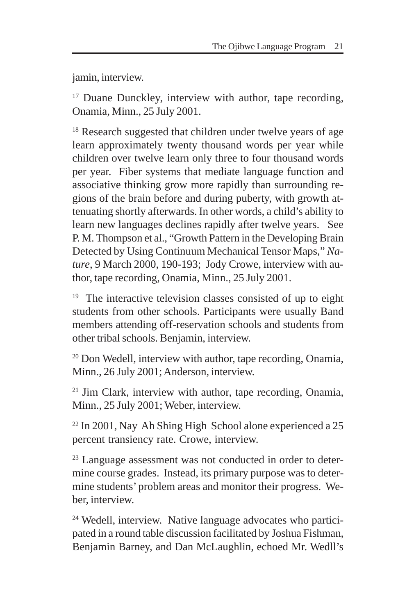jamin, interview.

<sup>17</sup> Duane Dunckley, interview with author, tape recording, Onamia, Minn., 25 July 2001.

<sup>18</sup> Research suggested that children under twelve years of age learn approximately twenty thousand words per year while children over twelve learn only three to four thousand words per year. Fiber systems that mediate language function and associative thinking grow more rapidly than surrounding regions of the brain before and during puberty, with growth attenuating shortly afterwards. In other words, a child's ability to learn new languages declines rapidly after twelve years. See P. M. Thompson et al., "Growth Pattern in the Developing Brain Detected by Using Continuum Mechanical Tensor Maps," *Nature*, 9 March 2000, 190-193; Jody Crowe, interview with author, tape recording, Onamia, Minn., 25 July 2001.

 $19$  The interactive television classes consisted of up to eight students from other schools. Participants were usually Band members attending off-reservation schools and students from other tribal schools. Benjamin, interview.

<sup>20</sup> Don Wedell, interview with author, tape recording, Onamia, Minn., 26 July 2001; Anderson, interview.

<sup>21</sup> Jim Clark, interview with author, tape recording, Onamia, Minn., 25 July 2001; Weber, interview.

22 In 2001, Nay Ah Shing High School alone experienced a 25 percent transiency rate. Crowe, interview.

<sup>23</sup> Language assessment was not conducted in order to determine course grades. Instead, its primary purpose was to determine students' problem areas and monitor their progress. Weber, interview.

24 Wedell, interview. Native language advocates who participated in a round table discussion facilitated by Joshua Fishman, Benjamin Barney, and Dan McLaughlin, echoed Mr. Wedll's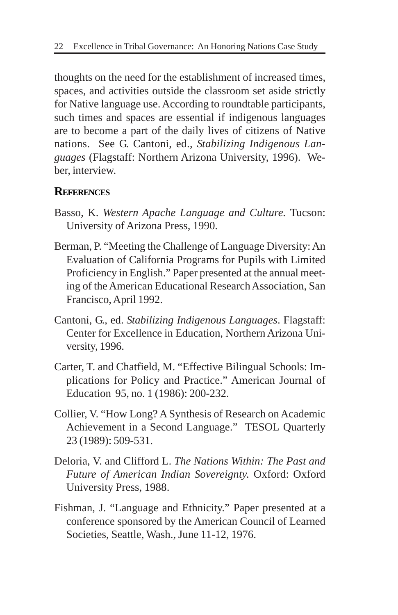thoughts on the need for the establishment of increased times, spaces, and activities outside the classroom set aside strictly for Native language use. According to roundtable participants, such times and spaces are essential if indigenous languages are to become a part of the daily lives of citizens of Native nations. See G. Cantoni, ed., *Stabilizing Indigenous Languages* (Flagstaff: Northern Arizona University, 1996). Weber, interview.

#### **REFERENCES**

- Basso, K. *Western Apache Language and Culture.* Tucson: University of Arizona Press, 1990.
- Berman, P. "Meeting the Challenge of Language Diversity: An Evaluation of California Programs for Pupils with Limited Proficiency in English." Paper presented at the annual meeting of the American Educational Research Association, San Francisco, April 1992.
- Cantoni, G., ed. *Stabilizing Indigenous Languages*. Flagstaff: Center for Excellence in Education, Northern Arizona University, 1996.
- Carter, T. and Chatfield, M. "Effective Bilingual Schools: Implications for Policy and Practice." American Journal of Education 95, no. 1 (1986): 200-232.
- Collier, V. "How Long? A Synthesis of Research on Academic Achievement in a Second Language." TESOL Quarterly 23 (1989): 509-531.
- Deloria, V. and Clifford L. *The Nations Within: The Past and Future of American Indian Sovereignty.* Oxford: Oxford University Press, 1988.
- Fishman, J. "Language and Ethnicity." Paper presented at a conference sponsored by the American Council of Learned Societies, Seattle, Wash., June 11-12, 1976.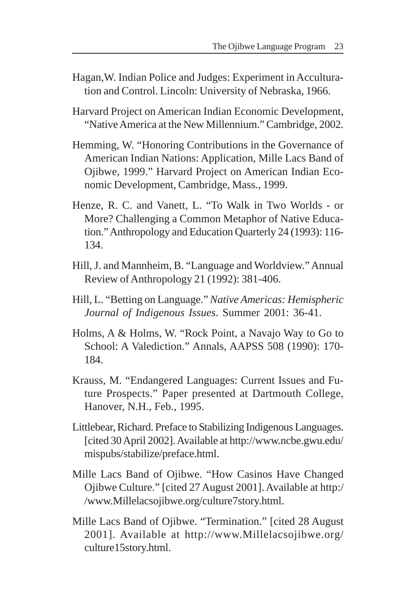- Hagan,W. Indian Police and Judges: Experiment in Acculturation and Control. Lincoln: University of Nebraska, 1966.
- Harvard Project on American Indian Economic Development, "Native America at the New Millennium." Cambridge, 2002.
- Hemming, W. "Honoring Contributions in the Governance of American Indian Nations: Application, Mille Lacs Band of Ojibwe, 1999." Harvard Project on American Indian Economic Development, Cambridge, Mass., 1999.
- Henze, R. C. and Vanett, L. "To Walk in Two Worlds or More? Challenging a Common Metaphor of Native Education." Anthropology and Education Quarterly 24 (1993): 116- 134.
- Hill, J. and Mannheim, B. "Language and Worldview." Annual Review of Anthropology 21 (1992): 381-406.
- Hill, L. "Betting on Language." *Native Americas: Hemispheric Journal of Indigenous Issues*. Summer 2001: 36-41.
- Holms, A & Holms, W. "Rock Point, a Navajo Way to Go to School: A Valediction." Annals, AAPSS 508 (1990): 170- 184.
- Krauss, M. "Endangered Languages: Current Issues and Future Prospects." Paper presented at Dartmouth College, Hanover, N.H., Feb., 1995.
- Littlebear, Richard. Preface to Stabilizing Indigenous Languages. [cited 30 April 2002]. Available at http://www.ncbe.gwu.edu/ mispubs/stabilize/preface.html.
- Mille Lacs Band of Ojibwe. "How Casinos Have Changed Ojibwe Culture." [cited 27 August 2001]. Available at http:/ /www.Millelacsojibwe.org/culture7story.html.
- Mille Lacs Band of Ojibwe. "Termination." [cited 28 August 2001]. Available at http://www.Millelacsojibwe.org/ culture15story.html.